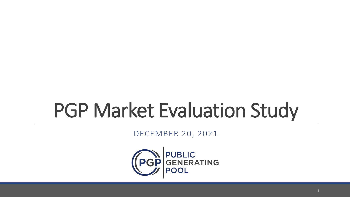# PGP Market Evaluation Study

DECEMBER 20, 2021

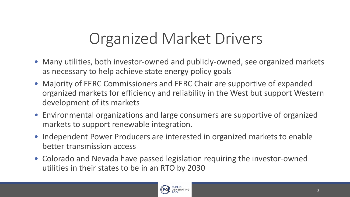# Organized Market Drivers

- Many utilities, both investor-owned and publicly-owned, see organized markets as necessary to help achieve state energy policy goals
- Majority of FERC Commissioners and FERC Chair are supportive of expanded organized markets for efficiency and reliability in the West but support Western development of its markets
- Environmental organizations and large consumers are supportive of organized markets to support renewable integration.
- Independent Power Producers are interested in organized markets to enable better transmission access
- Colorado and Nevada have passed legislation requiring the investor-owned utilities in their states to be in an RTO by 2030

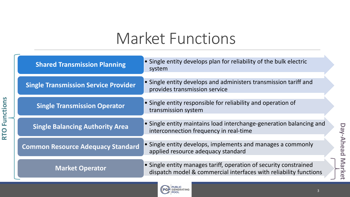### Market Functions

| <b>Shared Transmission Planning</b>         | • Single entity develops plan for reliability of the bulk electric<br>system                                                           |  |  |  |  |
|---------------------------------------------|----------------------------------------------------------------------------------------------------------------------------------------|--|--|--|--|
| <b>Single Transmission Service Provider</b> | • Single entity develops and administers transmission tariff and<br>provides transmission service                                      |  |  |  |  |
| <b>Single Transmission Operator</b>         | • Single entity responsible for reliability and operation of<br>transmission system                                                    |  |  |  |  |
| <b>Single Balancing Authority Area</b>      | • Single entity maintains load interchange-generation balancing and<br>interconnection frequency in real-time                          |  |  |  |  |
| <b>Common Resource Adequacy Standard</b>    | • Single entity develops, implements and manages a commonly<br>applied resource adequacy standard                                      |  |  |  |  |
| <b>Market Operator</b>                      | • Single entity manages tariff, operation of security constrained<br>dispatch model & commercial interfaces with reliability functions |  |  |  |  |

**RTO Functions**

**RTO Functions** 

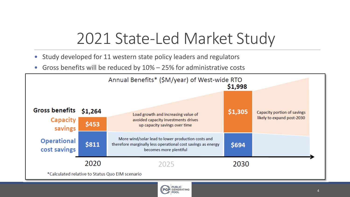### 2021 State-Led Market Study

- Study developed for 11 western state policy leaders and regulators
- Gross benefits will be reduced by 10% 25% for administrative costs



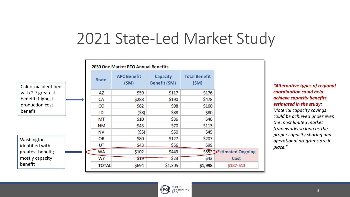#### 2021 State-Led Market Study

|                        | 2030 One Market RTO Annual Benefits |                            |                                  |                              |                         |  |
|------------------------|-------------------------------------|----------------------------|----------------------------------|------------------------------|-------------------------|--|
| California identified  | <b>State</b>                        | <b>APC Benefit</b><br>(SM) | <b>Capacity</b><br>Benefit (\$M) | <b>Total Benefit</b><br>(SM) |                         |  |
| with $2^{nd}$ greatest | AZ                                  | \$59                       | \$117                            | \$176                        |                         |  |
| benefit; highest       | CA                                  | \$288                      | \$190                            | \$478                        |                         |  |
| production cost        | CO                                  | \$62                       | \$98                             | \$160                        |                         |  |
| benefit                | ID                                  | (58)                       | \$88                             | \$80                         |                         |  |
|                        | МT                                  | \$10                       | \$36                             | \$46                         |                         |  |
|                        | NΜ                                  | \$43                       | \$70                             | \$113                        |                         |  |
|                        | ΝV                                  | (\$5)                      | \$50                             | \$45                         |                         |  |
| Washington             | OR                                  | \$80                       | \$127                            | \$207                        |                         |  |
| identified with        | UT                                  | \$43                       | \$56                             | \$99                         |                         |  |
| greatest benefit;      | WA                                  | \$102                      | \$449                            |                              | \$552 Estimated Ongoing |  |
| mostly capacity        | <b>WY</b>                           | \$19                       | \$23                             | \$43                         | Cost                    |  |
| benefit                | <b>TOTAL</b>                        | \$694                      | \$1,305                          | \$1,998                      | \$187-513               |  |

*"Alternative types of regional coordination could help achieve capacity benefits estimated in the study: Material capacity savings could be achieved under even the most limited market frameworks so long as the proper capacity sharing and operational programs are in place."*

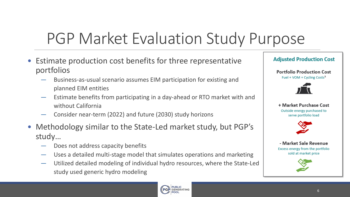# PGP Market Evaluation Study Purpose

- Estimate production cost benefits for three representative portfolios
	- ― Business-as-usual scenario assumes EIM participation for existing and planned EIM entities
	- ― Estimate benefits from participating in a day-ahead or RTO market with and without California
	- Consider near-term (2022) and future (2030) study horizons
- Methodology similar to the State-Led market study, but PGP's study…
	- Does not address capacity benefits
	- Uses a detailed multi-stage model that simulates operations and marketing
	- ― Utilized detailed modeling of individual hydro resources, where the State-Led study used generic hydro modeling





**Portfolio Production Cost** Fuel + VOM + Cycling Costs<sup>3</sup>



+ Market Purchase Cost Outside energy purchased to serve portfolio load



- Market Sale Revenue Excess energy from the portfolio sold at market price

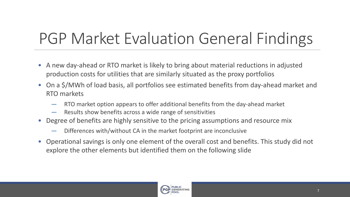# PGP Market Evaluation General Findings

- A new day-ahead or RTO market is likely to bring about material reductions in adjusted production costs for utilities that are similarly situated as the proxy portfolios
- On a \$/MWh of load basis, all portfolios see estimated benefits from day-ahead market and RTO markets
	- ― RTO market option appears to offer additional benefits from the day-ahead market
	- ― Results show benefits across a wide range of sensitivities
- Degree of benefits are highly sensitive to the pricing assumptions and resource mix
	- Differences with/without CA in the market footprint are inconclusive
- Operational savings is only one element of the overall cost and benefits. This study did not explore the other elements but identified them on the following slide

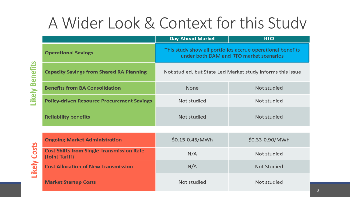# A Wider Look & Context for this Study

|                                                                    | <b>Day-Ahead Market</b>                                                                               | <b>RTO</b>         |  |  |  |
|--------------------------------------------------------------------|-------------------------------------------------------------------------------------------------------|--------------------|--|--|--|
| <b>Operational Savings</b>                                         | This study show all portfolios accrue operational benefits<br>under both DAM and RTO market scenarios |                    |  |  |  |
| <b>Capacity Savings from Shared RA Planning</b>                    | Not studied, but State Led Market study informs this issue                                            |                    |  |  |  |
| <b>Benefits from BA Consolidation</b>                              | None                                                                                                  | Not studied        |  |  |  |
| <b>Policy-driven Resource Procurement Savings</b>                  | Not studied                                                                                           | Not studied        |  |  |  |
| <b>Reliability benefits</b>                                        | Not studied                                                                                           | Not studied        |  |  |  |
|                                                                    |                                                                                                       |                    |  |  |  |
| <b>Ongoing Market Administration</b>                               | \$0.15-0.45/MWh                                                                                       | \$0.33-0.90/MWh    |  |  |  |
| <b>Cost Shifts from Single Transmission Rate</b><br>(Joint Tariff) | N/A                                                                                                   | Not studied        |  |  |  |
| <b>Cost Allocation of New Transmission</b>                         | N/A                                                                                                   | <b>Not Studied</b> |  |  |  |
|                                                                    |                                                                                                       |                    |  |  |  |

Not studied

**Market Startup Costs** 

Not studied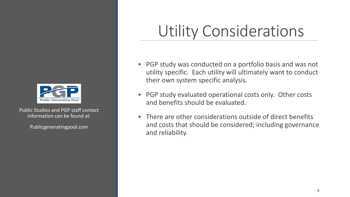

Public Studies and PGP staff contact information can be found at:

Publicgeneratingpool.com

### Utility Considerations

- PGP study was conducted on a portfolio basis and was not utility specific. Each utility will ultimately want to conduct their own system specific analysis.
- PGP study evaluated operational costs only. Other costs and benefits should be evaluated.
- There are other considerations outside of direct benefits and costs that should be considered; including governance and reliability.